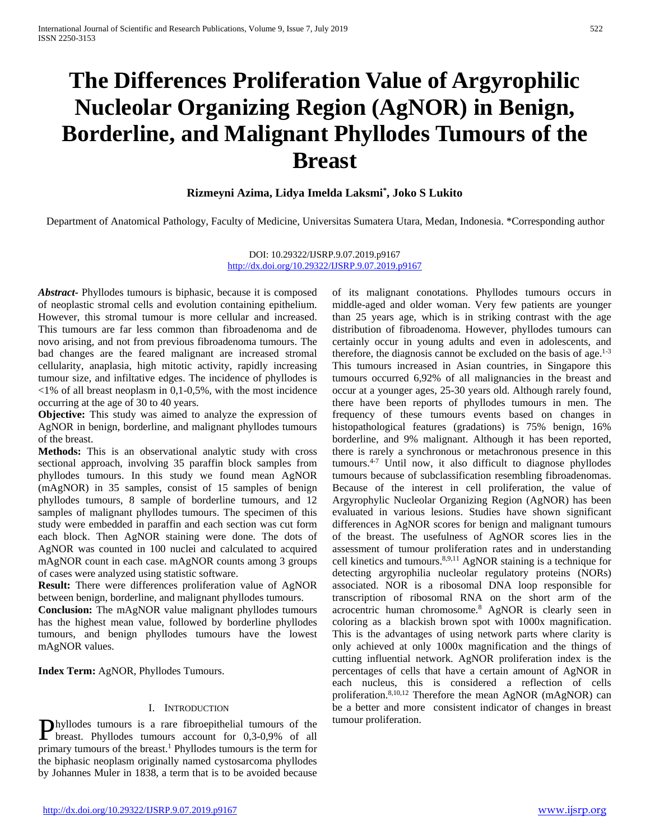# **The Differences Proliferation Value of Argyrophilic Nucleolar Organizing Region (AgNOR) in Benign, Borderline, and Malignant Phyllodes Tumours of the Breast**

# **Rizmeyni Azima, Lidya Imelda Laksmi\* , Joko S Lukito**

Department of Anatomical Pathology, Faculty of Medicine, Universitas Sumatera Utara, Medan, Indonesia. \*Corresponding author

DOI: 10.29322/IJSRP.9.07.2019.p9167 <http://dx.doi.org/10.29322/IJSRP.9.07.2019.p9167>

*Abstract***-** Phyllodes tumours is biphasic, because it is composed of neoplastic stromal cells and evolution containing epithelium. However, this stromal tumour is more cellular and increased. This tumours are far less common than fibroadenoma and de novo arising, and not from previous fibroadenoma tumours. The bad changes are the feared malignant are increased stromal cellularity, anaplasia, high mitotic activity, rapidly increasing tumour size, and infiltative edges. The incidence of phyllodes is  $\langle 1\%$  of all breast neoplasm in 0,1-0,5%, with the most incidence occurring at the age of 30 to 40 years.

**Objective:** This study was aimed to analyze the expression of AgNOR in benign, borderline, and malignant phyllodes tumours of the breast.

**Methods:** This is an observational analytic study with cross sectional approach, involving 35 paraffin block samples from phyllodes tumours. In this study we found mean AgNOR (mAgNOR) in 35 samples, consist of 15 samples of benign phyllodes tumours, 8 sample of borderline tumours, and 12 samples of malignant phyllodes tumours. The specimen of this study were embedded in paraffin and each section was cut form each block. Then AgNOR staining were done. The dots of AgNOR was counted in 100 nuclei and calculated to acquired mAgNOR count in each case. mAgNOR counts among 3 groups of cases were analyzed using statistic software.

**Result:** There were differences proliferation value of AgNOR between benign, borderline, and malignant phyllodes tumours.

**Conclusion:** The mAgNOR value malignant phyllodes tumours has the highest mean value, followed by borderline phyllodes tumours, and benign phyllodes tumours have the lowest mAgNOR values.

**Index Term:** AgNOR, Phyllodes Tumours.

## I. INTRODUCTION

hyllodes tumours is a rare fibroepithelial tumours of the  $\sum$  hyllodes tumours is a rare fibroepithelial tumours of the tumour proliferation.<br>
the breast. Phyllodes tumours account for  $0,3-0,9\%$  of all primary tumours of the breast.1 Phyllodes tumours is the term for the biphasic neoplasm originally named cystosarcoma phyllodes by Johannes Muler in 1838, a term that is to be avoided because

of its malignant conotations. Phyllodes tumours occurs in middle-aged and older woman. Very few patients are younger than 25 years age, which is in striking contrast with the age distribution of fibroadenoma. However, phyllodes tumours can certainly occur in young adults and even in adolescents, and therefore, the diagnosis cannot be excluded on the basis of age. $1-3$ This tumours increased in Asian countries, in Singapore this tumours occurred 6,92% of all malignancies in the breast and occur at a younger ages, 25-30 years old. Although rarely found, there have been reports of phyllodes tumours in men. The frequency of these tumours events based on changes in histopathological features (gradations) is 75% benign, 16% borderline, and 9% malignant. Although it has been reported, there is rarely a synchronous or metachronous presence in this tumours.4-7 Until now, it also difficult to diagnose phyllodes tumours because of subclassification resembling fibroadenomas. Because of the interest in cell proliferation, the value of Argyrophylic Nucleolar Organizing Region (AgNOR) has been evaluated in various lesions. Studies have shown significant differences in AgNOR scores for benign and malignant tumours of the breast. The usefulness of AgNOR scores lies in the assessment of tumour proliferation rates and in understanding cell kinetics and tumours.8,9,11 AgNOR staining is a technique for detecting argyrophilia nucleolar regulatory proteins (NORs) associated. NOR is a ribosomal DNA loop responsible for transcription of ribosomal RNA on the short arm of the acrocentric human chromosome.8 AgNOR is clearly seen in coloring as a blackish brown spot with 1000x magnification. This is the advantages of using network parts where clarity is only achieved at only 1000x magnification and the things of cutting influential network. AgNOR proliferation index is the percentages of cells that have a certain amount of AgNOR in each nucleus, this is considered a reflection of cells proliferation.<sup>8,10,12</sup> Therefore the mean AgNOR (mAgNOR) can be a better and more consistent indicator of changes in breast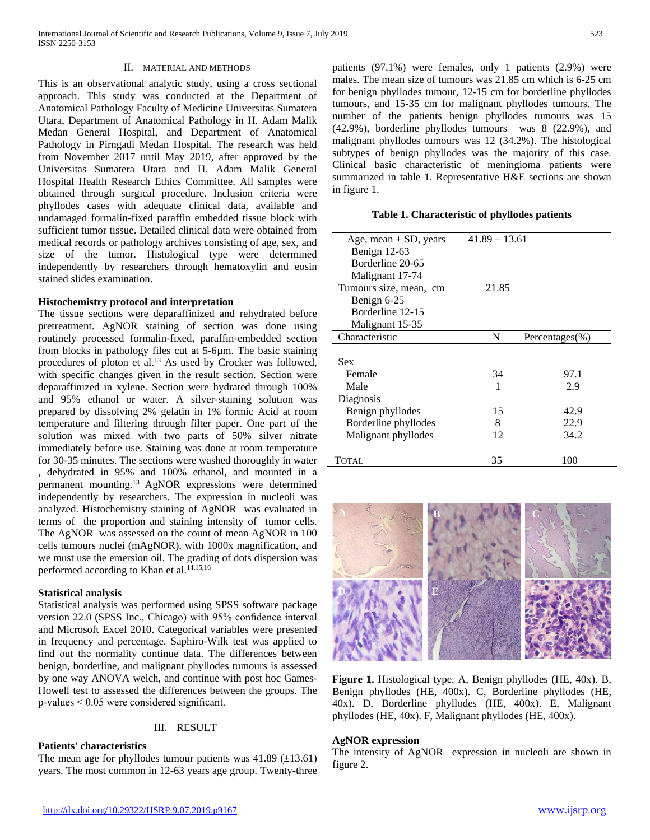## II. MATERIAL AND METHODS

This is an observational analytic study, using a cross sectional approach. This study was conducted at the Department of Anatomical Pathology Faculty of Medicine Universitas Sumatera Utara, Department of Anatomical Pathology in H. Adam Malik Medan General Hospital, and Department of Anatomical Pathology in Pirngadi Medan Hospital. The research was held from November 2017 until May 2019, after approved by the Universitas Sumatera Utara and H. Adam Malik General Hospital Health Research Ethics Committee. All samples were obtained through surgical procedure. Inclusion criteria were phyllodes cases with adequate clinical data, available and undamaged formalin-fixed paraffin embedded tissue block with sufficient tumor tissue. Detailed clinical data were obtained from medical records or pathology archives consisting of age, sex, and size of the tumor. Histological type were determined independently by researchers through hematoxylin and eosin stained slides examination.

#### **Histochemistry protocol and interpretation**

The tissue sections were deparaffinized and rehydrated before pretreatment. AgNOR staining of section was done using routinely processed formalin-fixed, paraffin-embedded section from blocks in pathology files cut at 5-6µm. The basic staining procedures of ploton et al.<sup>13</sup> As used by Crocker was followed, with specific changes given in the result section. Section were deparaffinized in xylene. Section were hydrated through 100% and 95% ethanol or water. A silver-staining solution was prepared by dissolving 2% gelatin in 1% formic Acid at room temperature and filtering through filter paper. One part of the solution was mixed with two parts of 50% silver nitrate immediately before use. Staining was done at room temperature for 30-35 minutes. The sections were washed thoroughly in water , dehydrated in 95% and 100% ethanol, and mounted in a permanent mounting.13 AgNOR expressions were determined independently by researchers. The expression in nucleoli was analyzed. Histochemistry staining of AgNOR was evaluated in terms of the proportion and staining intensity of tumor cells. The AgNOR was assessed on the count of mean AgNOR in 100 cells tumours nuclei (mAgNOR), with 1000x magnification, and we must use the emersion oil. The grading of dots dispersion was performed according to Khan et al.<sup>14,15,16</sup>

## **Statistical analysis**

Statistical analysis was performed using SPSS software package version 22.0 (SPSS Inc., Chicago) with 95% confidence interval and Microsoft Excel 2010. Categorical variables were presented in frequency and percentage. Saphiro-Wilk test was applied to find out the normality continue data. The differences between benign, borderline, and malignant phyllodes tumours is assessed by one way ANOVA welch, and continue with post hoc Games-Howell test to assessed the differences between the groups. The p-values < 0.05 were considered significant.

## III. RESULT

## **Patients' characteristics**

The mean age for phyllodes tumour patients was  $41.89$  ( $\pm$ 13.61) years. The most common in 12-63 years age group. Twenty-three patients (97.1%) were females, only 1 patients (2.9%) were males. The mean size of tumours was 21.85 cm which is 6-25 cm for benign phyllodes tumour, 12-15 cm for borderline phyllodes tumours, and 15-35 cm for malignant phyllodes tumours. The number of the patients benign phyllodes tumours was 15 (42.9%), borderline phyllodes tumours was 8 (22.9%), and malignant phyllodes tumours was 12 (34.2%). The histological subtypes of benign phyllodes was the majority of this case. Clinical basic characteristic of meningioma patients were summarized in table 1. Representative H&E sections are shown in figure 1.

#### **Table 1. Characteristic of phyllodes patients**

| Age, mean $\pm$ SD, years | $41.89 \pm 13.61$ |                     |  |
|---------------------------|-------------------|---------------------|--|
| Benign 12-63              |                   |                     |  |
| Borderline 20-65          |                   |                     |  |
| Malignant 17-74           |                   |                     |  |
| Tumours size, mean, cm    | 21.85             |                     |  |
| Benign 6-25               |                   |                     |  |
| Borderline 12-15          |                   |                     |  |
| Malignant 15-35           |                   |                     |  |
| Characteristic            | N                 | Percentages $(\% )$ |  |
|                           |                   |                     |  |
| Sex                       |                   |                     |  |
| Female                    | 34                | 97.1                |  |
| Male                      | 1                 | 2.9                 |  |
| Diagnosis                 |                   |                     |  |
| Benign phyllodes          | 15                | 42.9                |  |
| Borderline phyllodes      | 8                 | 22.9                |  |
| Malignant phyllodes       | 12                | 34.2                |  |
|                           |                   |                     |  |
| TOTAL                     | 35                | 100                 |  |



**Figure 1.** Histological type. A, Benign phyllodes (HE, 40x). B, Benign phyllodes (HE, 400x). C, Borderline phyllodes (HE, 40x). D, Borderline phyllodes (HE, 400x). E, Malignant phyllodes (HE, 40x). F, Malignant phyllodes (HE, 400x).

## **AgNOR expression**

The intensity of AgNOR expression in nucleoli are shown in figure 2.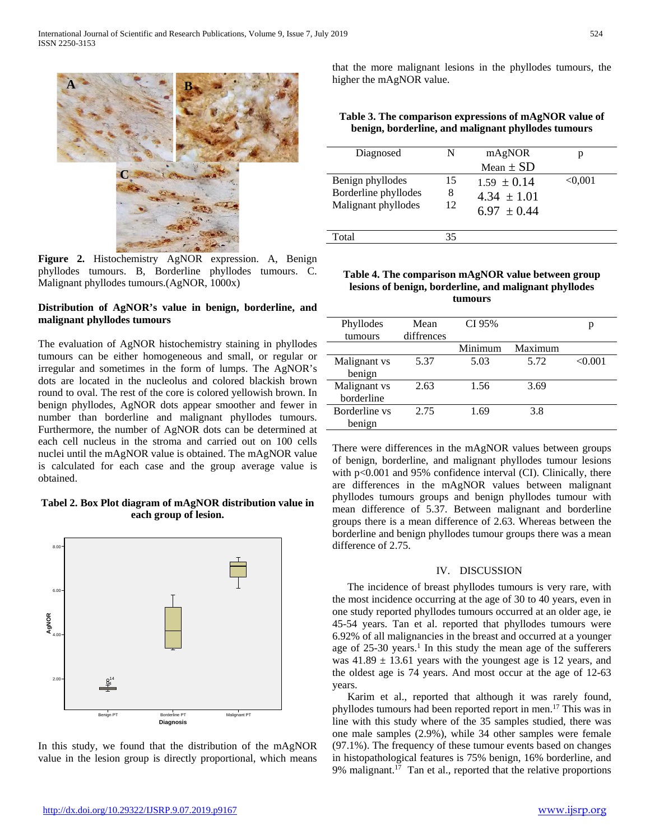

**Figure 2.** Histochemistry AgNOR expression. A, Benign phyllodes tumours. B, Borderline phyllodes tumours. C. Malignant phyllodes tumours.(AgNOR, 1000x)

## **Distribution of AgNOR's value in benign, borderline, and malignant phyllodes tumours**

The evaluation of AgNOR histochemistry staining in phyllodes tumours can be either homogeneous and small, or regular or irregular and sometimes in the form of lumps. The AgNOR's dots are located in the nucleolus and colored blackish brown round to oval. The rest of the core is colored yellowish brown. In benign phyllodes, AgNOR dots appear smoother and fewer in number than borderline and malignant phyllodes tumours. Furthermore, the number of AgNOR dots can be determined at each cell nucleus in the stroma and carried out on 100 cells nuclei until the mAgNOR value is obtained. The mAgNOR value is calculated for each case and the group average value is obtained.

## **Tabel 2. Box Plot diagram of mAgNOR distribution value in each group of lesion.**



In this study, we found that the distribution of the mAgNOR value in the lesion group is directly proportional, which means

that the more malignant lesions in the phyllodes tumours, the higher the mAgNOR value.

**Table 3. The comparison expressions of mAgNOR value of benign, borderline, and malignant phyllodes tumours**

| Diagnosed            | N  | mAgNOR          |              |
|----------------------|----|-----------------|--------------|
|                      |    | Mean $\pm$ SD   |              |
| Benign phyllodes     | 15 | $1.59 \pm 0.14$ | $<\!\!0.001$ |
| Borderline phyllodes | 8  | $4.34 \pm 1.01$ |              |
| Malignant phyllodes  | 12 | $6.97 \pm 0.44$ |              |
|                      |    |                 |              |
| Total                | 35 |                 |              |
|                      |    |                 |              |

## **Table 4. The comparison mAgNOR value between group lesions of benign, borderline, and malignant phyllodes tumours**

| Phyllodes     | Mean       | CI 95%  |         | р       |
|---------------|------------|---------|---------|---------|
| tumours       | diffrences |         |         |         |
|               |            | Minimum | Maximum |         |
| Malignant vs  | 5.37       | 5.03    | 5.72    | < 0.001 |
| benign        |            |         |         |         |
| Malignant vs  | 2.63       | 1.56    | 3.69    |         |
| borderline    |            |         |         |         |
| Borderline vs | 2.75       | 1.69    | 3.8     |         |
| benign        |            |         |         |         |

There were differences in the mAgNOR values between groups of benign, borderline, and malignant phyllodes tumour lesions with p<0.001 and 95% confidence interval (CI). Clinically, there are differences in the mAgNOR values between malignant phyllodes tumours groups and benign phyllodes tumour with mean difference of 5.37. Between malignant and borderline groups there is a mean difference of 2.63. Whereas between the borderline and benign phyllodes tumour groups there was a mean difference of 2.75.

## IV. DISCUSSION

The incidence of breast phyllodes tumours is very rare, with the most incidence occurring at the age of 30 to 40 years, even in one study reported phyllodes tumours occurred at an older age, ie 45-54 years. Tan et al. reported that phyllodes tumours were 6.92% of all malignancies in the breast and occurred at a younger age of  $25-30$  years.<sup>1</sup> In this study the mean age of the sufferers was  $41.89 \pm 13.61$  years with the youngest age is 12 years, and the oldest age is 74 years. And most occur at the age of 12-63 years.

Karim et al., reported that although it was rarely found, phyllodes tumours had been reported report in men.17 This was in line with this study where of the 35 samples studied, there was one male samples (2.9%), while 34 other samples were female (97.1%). The frequency of these tumour events based on changes in histopathological features is 75% benign, 16% borderline, and 9% malignant.<sup>17</sup> Tan et al., reported that the relative proportions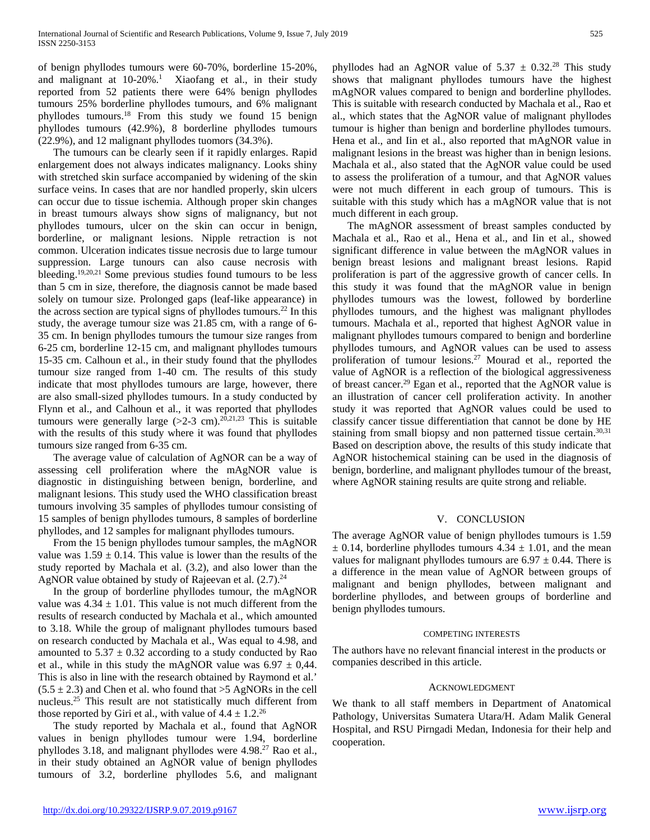of benign phyllodes tumours were 60-70%, borderline 15-20%, and malignant at  $10-20\%$ .<sup>1</sup> Xiaofang et al., in their study reported from 52 patients there were 64% benign phyllodes tumours 25% borderline phyllodes tumours, and 6% malignant phyllodes tumours.18 From this study we found 15 benign phyllodes tumours (42.9%), 8 borderline phyllodes tumours (22.9%), and 12 malignant phyllodes tuomors (34.3%).

The tumours can be clearly seen if it rapidly enlarges. Rapid enlargement does not always indicates malignancy. Looks shiny with stretched skin surface accompanied by widening of the skin surface veins. In cases that are nor handled properly, skin ulcers can occur due to tissue ischemia. Although proper skin changes in breast tumours always show signs of malignancy, but not phyllodes tumours, ulcer on the skin can occur in benign, borderline, or malignant lesions. Nipple retraction is not common. Ulceration indicates tissue necrosis due to large tumour suppression. Large tunours can also cause necrosis with bleeding. 19,20,21 Some previous studies found tumours to be less than 5 cm in size, therefore, the diagnosis cannot be made based solely on tumour size. Prolonged gaps (leaf-like appearance) in the across section are typical signs of phyllodes tumours.<sup>22</sup> In this study, the average tumour size was 21.85 cm, with a range of 6- 35 cm. In benign phyllodes tumours the tumour size ranges from 6-25 cm, borderline 12-15 cm, and malignant phyllodes tumours 15-35 cm. Calhoun et al., in their study found that the phyllodes tumour size ranged from 1-40 cm. The results of this study indicate that most phyllodes tumours are large, however, there are also small-sized phyllodes tumours. In a study conducted by Flynn et al., and Calhoun et al., it was reported that phyllodes tumours were generally large  $(>2-3$  cm).<sup>20,21,23</sup> This is suitable with the results of this study where it was found that phyllodes tumours size ranged from 6-35 cm.

The average value of calculation of AgNOR can be a way of assessing cell proliferation where the mAgNOR value is diagnostic in distinguishing between benign, borderline, and malignant lesions. This study used the WHO classification breast tumours involving 35 samples of phyllodes tumour consisting of 15 samples of benign phyllodes tumours, 8 samples of borderline phyllodes, and 12 samples for malignant phyllodes tumours.

From the 15 benign phyllodes tumour samples, the mAgNOR value was  $1.59 \pm 0.14$ . This value is lower than the results of the study reported by Machala et al. (3.2), and also lower than the AgNOR value obtained by study of Rajeevan et al.  $(2.7)$ .<sup>24</sup>

In the group of borderline phyllodes tumour, the mAgNOR value was  $4.34 \pm 1.01$ . This value is not much different from the results of research conducted by Machala et al., which amounted to 3.18. While the group of malignant phyllodes tumours based on research conducted by Machala et al., Was equal to 4.98, and amounted to  $5.37 \pm 0.32$  according to a study conducted by Rao et al., while in this study the mAgNOR value was  $6.97 \pm 0.44$ . This is also in line with the research obtained by Raymond et al.'  $(5.5 \pm 2.3)$  and Chen et al. who found that  $>5$  AgNORs in the cell nucleus.25 This result are not statistically much different from those reported by Giri et al., with value of  $4.4 \pm 1.2^{26}$ 

The study reported by Machala et al., found that AgNOR values in benign phyllodes tumour were 1.94, borderline phyllodes 3.18, and malignant phyllodes were 4.98.<sup>27</sup> Rao et al., in their study obtained an AgNOR value of benign phyllodes tumours of 3.2, borderline phyllodes 5.6, and malignant

phyllodes had an AgNOR value of  $5.37 \pm 0.32$ .<sup>28</sup> This study shows that malignant phyllodes tumours have the highest mAgNOR values compared to benign and borderline phyllodes. This is suitable with research conducted by Machala et al., Rao et al., which states that the AgNOR value of malignant phyllodes tumour is higher than benign and borderline phyllodes tumours. Hena et al., and Iin et al., also reported that mAgNOR value in malignant lesions in the breast was higher than in benign lesions. Machala et al., also stated that the AgNOR value could be used to assess the proliferation of a tumour, and that AgNOR values were not much different in each group of tumours. This is suitable with this study which has a mAgNOR value that is not much different in each group.

The mAgNOR assessment of breast samples conducted by Machala et al., Rao et al., Hena et al., and Iin et al., showed significant difference in value between the mAgNOR values in benign breast lesions and malignant breast lesions. Rapid proliferation is part of the aggressive growth of cancer cells. In this study it was found that the mAgNOR value in benign phyllodes tumours was the lowest, followed by borderline phyllodes tumours, and the highest was malignant phyllodes tumours. Machala et al., reported that highest AgNOR value in malignant phyllodes tumours compared to benign and borderline phyllodes tumours, and AgNOR values can be used to assess proliferation of tumour lesions.27 Mourad et al., reported the value of AgNOR is a reflection of the biological aggressiveness of breast cancer.29 Egan et al., reported that the AgNOR value is an illustration of cancer cell proliferation activity. In another study it was reported that AgNOR values could be used to classify cancer tissue differentiation that cannot be done by HE staining from small biopsy and non patterned tissue certain.<sup>30,31</sup> Based on description above, the results of this study indicate that AgNOR histochemical staining can be used in the diagnosis of benign, borderline, and malignant phyllodes tumour of the breast, where AgNOR staining results are quite strong and reliable.

## V. CONCLUSION

The average AgNOR value of benign phyllodes tumours is 1.59  $\pm$  0.14, borderline phyllodes tumours 4.34  $\pm$  1.01, and the mean values for malignant phyllodes tumours are  $6.97 \pm 0.44$ . There is a difference in the mean value of AgNOR between groups of malignant and benign phyllodes, between malignant and borderline phyllodes, and between groups of borderline and benign phyllodes tumours.

## COMPETING INTERESTS

The authors have no relevant financial interest in the products or companies described in this article.

## ACKNOWLEDGMENT

We thank to all staff members in Department of Anatomical Pathology, Universitas Sumatera Utara/H. Adam Malik General Hospital, and RSU Pirngadi Medan, Indonesia for their help and cooperation.